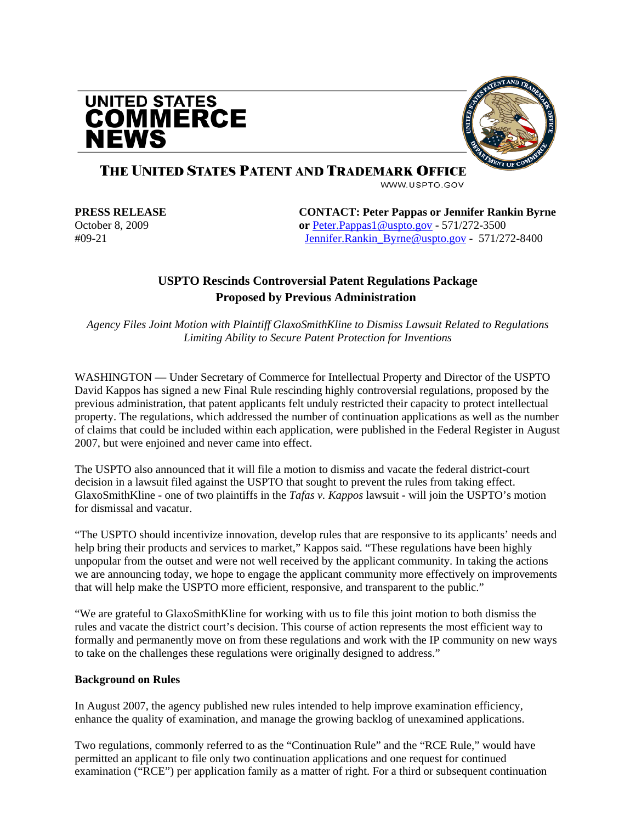



## THE UNITED STATES PATENT AND TRADEMARK OFFICE

WWW.USPTO.GOV

**PRESS RELEASE CONTACT: Peter Pappas or Jennifer Rankin Byrne**  October 8, 2009 **or** [Peter.Pappas1@uspto.gov](mailto:Peter.Pappas1@uspto.gov) - 571/272-3500 #09-21 [Jennifer.Rankin\\_Byrne@uspto.gov](mailto:Jennifer.Rankin_Byrne@uspto.gov) - 571/272-8400

### **USPTO Rescinds Controversial Patent Regulations Package Proposed by Previous Administration**

*Agency Files Joint Motion with Plaintiff GlaxoSmithKline to Dismiss Lawsuit Related to Regulations Limiting Ability to Secure Patent Protection for Inventions* 

WASHINGTON — Under Secretary of Commerce for Intellectual Property and Director of the USPTO David Kappos has signed a new Final Rule rescinding highly controversial regulations, proposed by the previous administration, that patent applicants felt unduly restricted their capacity to protect intellectual property. The regulations, which addressed the number of continuation applications as well as the number of claims that could be included within each application, were published in the Federal Register in August 2007, but were enjoined and never came into effect.

The USPTO also announced that it will file a motion to dismiss and vacate the federal district-court decision in a lawsuit filed against the USPTO that sought to prevent the rules from taking effect. GlaxoSmithKline - one of two plaintiffs in the *Tafas v. Kappos* lawsuit - will join the USPTO's motion for dismissal and vacatur.

"The USPTO should incentivize innovation, develop rules that are responsive to its applicants' needs and help bring their products and services to market," Kappos said. "These regulations have been highly unpopular from the outset and were not well received by the applicant community. In taking the actions we are announcing today, we hope to engage the applicant community more effectively on improvements that will help make the USPTO more efficient, responsive, and transparent to the public."

"We are grateful to GlaxoSmithKline for working with us to file this joint motion to both dismiss the rules and vacate the district court's decision. This course of action represents the most efficient way to formally and permanently move on from these regulations and work with the IP community on new ways to take on the challenges these regulations were originally designed to address."

#### **Background on Rules**

In August 2007, the agency published new rules intended to help improve examination efficiency, enhance the quality of examination, and manage the growing backlog of unexamined applications.

Two regulations, commonly referred to as the "Continuation Rule" and the "RCE Rule," would have permitted an applicant to file only two continuation applications and one request for continued examination ("RCE") per application family as a matter of right. For a third or subsequent continuation